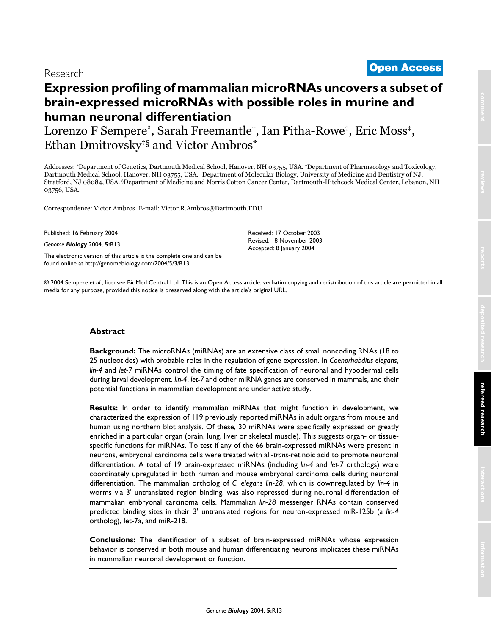# <sup>2004</sup> Sempere et al. Volume 5, Issue 3, Article R13 **[Open Access](http://www.biomedcentral.com/info/about/charter/)** Research

# **Expression profiling of mammalian microRNAs uncovers a subset of brain-expressed microRNAs with possible roles in murine and human neuronal differentiation**

Lorenzo F Sempere\*, Sarah Freemantle†, Ian Pitha-Rowe†, Eric Moss‡, Ethan Dmitrovsky†§ and Victor Ambros\*

Addresses: \*Department of Genetics, Dartmouth Medical School, Hanover, NH 03755, USA. †Department of Pharmacology and Toxicology, Dartmouth Medical School, Hanover, NH 03755, USA. ‡Department of Molecular Biology, University of Medicine and Dentistry of NJ, Stratford, NJ 08084, USA. §Department of Medicine and Norris Cotton Cancer Center, Dartmouth-Hitchcock Medical Center, Lebanon, NH 03756, USA.

Correspondence: Victor Ambros. E-mail: Victor.R.Ambros@Dartmouth.EDU

Published: 16 February 2004

*Genome Biology* 2004, **5:**R13

[The electronic version of this article is the complete one and can be](http://genomebiology.com/2004/5/3/R13)  found online at http://genomebiology.com/2004/5/3/R13

Received: 17 October 2003 Revised: 18 November 2003 Accepted: 8 January 2004

© 2004 Sempere *et al*.; licensee BioMed Central Ltd. This is an Open Access article: verbatim copying and redistribution of this article are permitted in all media for any purpose, provided this notice is preserved along with the article's original URL.

# **Abstract**

**Background:** The microRNAs (miRNAs) are an extensive class of small noncoding RNAs (18 to 25 nucleotides) with probable roles in the regulation of gene expression. In *Caenorhabditis elegans*, *lin-4* and *let-7* miRNAs control the timing of fate specification of neuronal and hypodermal cells during larval development. *lin-4*, *let-7* and other miRNA genes are conserved in mammals, and their potential functions in mammalian development are under active study.

**Results:** In order to identify mammalian miRNAs that might function in development, we characterized the expression of 119 previously reported miRNAs in adult organs from mouse and human using northern blot analysis. Of these, 30 miRNAs were specifically expressed or greatly enriched in a particular organ (brain, lung, liver or skeletal muscle). This suggests organ- or tissuespecific functions for miRNAs. To test if any of the 66 brain-expressed miRNAs were present in neurons, embryonal carcinoma cells were treated with all-*trans*-retinoic acid to promote neuronal differentiation. A total of 19 brain-expressed miRNAs (including *lin-4* and *let-7* orthologs) were coordinately upregulated in both human and mouse embryonal carcinoma cells during neuronal differentiation. The mammalian ortholog of *C. elegans lin*-*28*, which is downregulated by *lin-4* in worms via 3' untranslated region binding, was also repressed during neuronal differentiation of mammalian embryonal carcinoma cells. Mammalian *lin-28* messenger RNAs contain conserved predicted binding sites in their 3' untranslated regions for neuron-expressed miR-125b (a *lin-4* ortholog), let-7a, and miR-218.

**Conclusions:** The identification of a subset of brain-expressed miRNAs whose expression behavior is conserved in both mouse and human differentiating neurons implicates these miRNAs in mammalian neuronal development or function.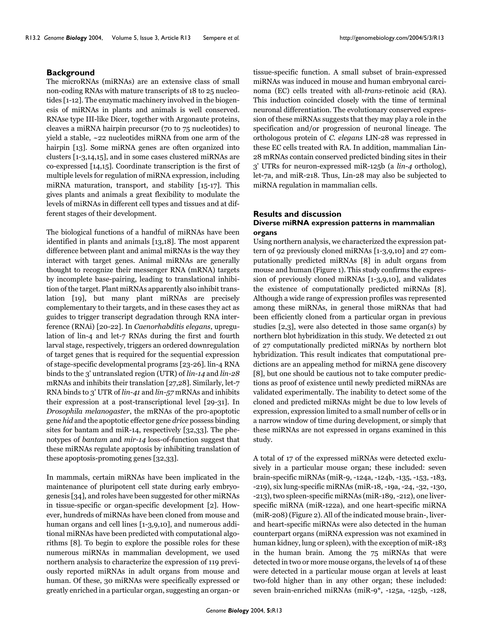## **Background**

The microRNAs (miRNAs) are an extensive class of small non-coding RNAs with mature transcripts of 18 to 25 nucleotides [1-12]. The enzymatic machinery involved in the biogenesis of miRNAs in plants and animals is well conserved. RNAse type III-like Dicer, together with Argonaute proteins, cleaves a miRNA hairpin precursor (70 to 75 nucleotides) to yield a stable, ~22 nucleotides miRNA from one arm of the hairpin [13]. Some miRNA genes are often organized into clusters [1-3[,14,](#page-9-0)15], and in some cases clustered miRNAs are co-expressed [[14,](#page-9-0)15]. Coordinate transcription is the first of multiple levels for regulation of miRNA expression, including miRNA maturation, transport, and stability [15-17]. This gives plants and animals a great flexibility to modulate the levels of miRNAs in different cell types and tissues and at different stages of their development.

The biological functions of a handful of miRNAs have been identified in plants and animals [13,18]. The most apparent difference between plant and animal miRNAs is the way they interact with target genes. Animal miRNAs are generally thought to recognize their messenger RNA (mRNA) targets by incomplete base-pairing, leading to translational inhibition of the target. Plant miRNAs apparently also inhibit translation [19], but many plant miRNAs are precisely complementary to their targets, and in these cases they act as guides to trigger transcript degradation through RNA interference (RNAi) [20-[22\]](#page-9-1). In *Caenorhabditis elegans*, upregulation of lin-4 and let-7 RNAs during the first and fourth larval stage, respectively, triggers an ordered downregulation of target genes that is required for the sequential expression of stage-specific developmental programs [\[23](#page-9-2)-26]. lin-4 RNA binds to the 3' untranslated region (UTR) of *lin-14* and *lin-28* mRNAs and inhibits their translation [\[27](#page-9-3)[,28\]](#page-9-4). Similarly, let-7 RNA binds to 3' UTR of *lin-41* and *lin-57* mRNAs and inhibits their expression at a post-transcriptional level [[29](#page-9-5)[-31](#page-9-6)]. In *Drosophila melanogaster*, the mRNAs of the pro-apoptotic gene *hid* and the apoptotic effector gene *drice* possess binding sites for bantam and miR-14, respectively [[32](#page-10-0)[,33](#page-10-1)]. The phenotypes of *bantam* and *mir-14* loss-of-function suggest that these miRNAs regulate apoptosis by inhibiting translation of these apoptosis-promoting genes [[32,](#page-10-0)[33\]](#page-10-1).

In mammals, certain miRNAs have been implicated in the maintenance of pluripotent cell state during early embryogenesis [34], and roles have been suggested for other miRNAs in tissue-specific or organ-specific development [2]. However, hundreds of miRNAs have been cloned from mouse and human organs and cell lines [1-3,9,10], and numerous additional miRNAs have been predicted with computational algorithms [8]. To begin to explore the possible roles for these numerous miRNAs in mammalian development, we used northern analysis to characterize the expression of 119 previously reported miRNAs in adult organs from mouse and human. Of these, 30 miRNAs were specifically expressed or greatly enriched in a particular organ, suggesting an organ- or

tissue-specific function. A small subset of brain-expressed miRNAs was induced in mouse and human embryonal carcinoma (EC) cells treated with all-*trans*-retinoic acid (RA). This induction coincided closely with the time of terminal neuronal differentiation. The evolutionary conserved expression of these miRNAs suggests that they may play a role in the specification and/or progression of neuronal lineage. The orthologous protein of *C. elegans* LIN-28 was repressed in these EC cells treated with RA. In addition, mammalian Lin-28 mRNAs contain conserved predicted binding sites in their 3' UTRs for neuron-expressed miR-125b (a *lin-4* ortholog), let-7a, and miR-218. Thus, Lin-28 may also be subjected to miRNA regulation in mammalian cells.

# **Results and discussion**

# **Diverse miRNA expression patterns in mammalian organs**

Using northern analysis, we characterized the expression pattern of 92 previously cloned miRNAs [1-3,9,10] and 27 computationally predicted miRNAs [8] in adult organs from mouse and human (Figure [1\)](#page-2-0). This study confirms the expression of previously cloned miRNAs [1-3,9,10], and validates the existence of computationally predicted miRNAs [8]. Although a wide range of expression profiles was represented among these miRNAs, in general those miRNAs that had been efficiently cloned from a particular organ in previous studies [2,3], were also detected in those same organ(s) by northern blot hybridization in this study. We detected 21 out of 27 computationally predicted miRNAs by northern blot hybridization. This result indicates that computational predictions are an appealing method for miRNA gene discovery [8], but one should be cautious not to take computer predictions as proof of existence until newly predicted miRNAs are validated experimentally. The inability to detect some of the cloned and predicted miRNAs might be due to low levels of expression, expression limited to a small number of cells or in a narrow window of time during development, or simply that these miRNAs are not expressed in organs examined in this study.

A total of 17 of the expressed miRNAs were detected exclusively in a particular mouse organ; these included: seven brain-specific miRNAs (miR-9, -124a, -124b, -135, -153, -183, -219), six lung-specific miRNAs (miR-18, -19a, -24, -32, -130, -213), two spleen-specific miRNAs (miR-189, -212), one liverspecific miRNA (miR-122a), and one heart-specific miRNA (miR-208) (Figure 2). All of the indicated mouse brain-, liverand heart-specific miRNAs were also detected in the human counterpart organs (miRNA expression was not examined in human kidney, lung or spleen), with the exception of miR-183 in the human brain. Among the 75 miRNAs that were detected in two or more mouse organs, the levels of 14 of these were detected in a particular mouse organ at levels at least two-fold higher than in any other organ; these included: seven brain-enriched miRNAs (miR-9\*, -125a, -125b, -128,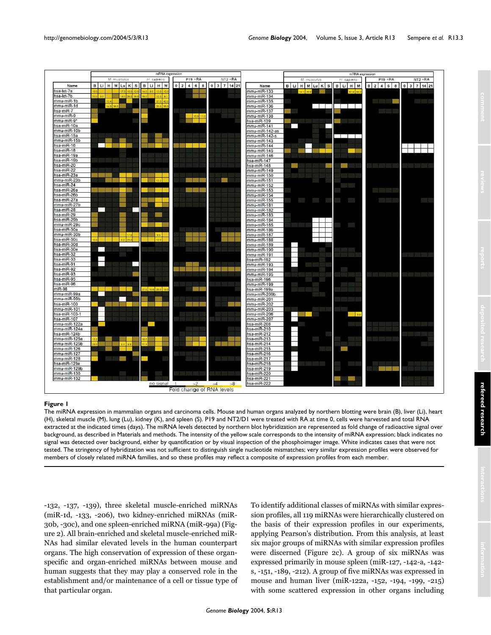<span id="page-2-0"></span>

The miRNA expression in mammalian organs and carcinoma cells. Mouse and human organs analyzed by northern blotting were brain (B), liver (Li), heart (H), skeletal muscle (M), lung (Lu), kidney (K), and spleen (S). P19 and NT2/D1 were treated with RA at time 0, cells were harvested and total RNA extracted at the indicated times (days). The miRNA levels detected by northern blot hybridization are represented as fold change of radioactive signal over background, as described in Materials and methods. The intensity of the yellow scale corresponds to the intensity of miRNA expression; black indicates no signal was detected over background, either by quantification or by visual inspection of the phosphoimager image. White indicates cases that were not tested. The stringency of hybridization was not sufficient to distinguish single nucleotide mismatches; very similar expression profiles were observed for members of closely related miRNA families, and so these profiles may reflect a composite of expression profiles from each member.

-132, -137, -139), three skeletal muscle-enriched miRNAs (miR-1d, -133, -206), two kidney-enriched miRNAs (miR-30b, -30c), and one spleen-enriched miRNA (miR-99a) (Figure 2). All brain-enriched and skeletal muscle-enriched miR-NAs had similar elevated levels in the human counterpart organs. The high conservation of expression of these organspecific and organ-enriched miRNAs between mouse and human suggests that they may play a conserved role in the establishment and/or maintenance of a cell or tissue type of that particular organ.

To identify additional classes of miRNAs with similar expression profiles, all 119 miRNAs were hierarchically clustered on the basis of their expression profiles in our experiments, applying Pearson's distribution. From this analysis, at least six major groups of miRNAs with similar expression profiles were discerned (Figure 2c). A group of six miRNAs was expressed primarily in mouse spleen (miR-127, -142-a, -142 s, -151, -189, -212). A group of five miRNAs was expressed in mouse and human liver (miR-122a, -152, -194, -199, -215) with some scattered expression in other organs including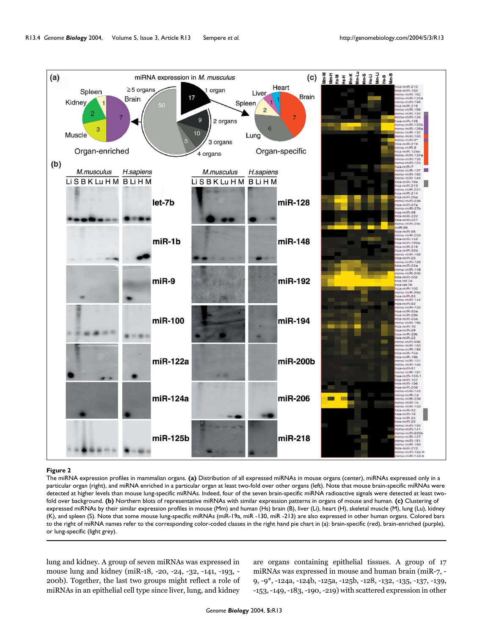

The miRNA expression profiles in mammalian organs. **(a)** Distribution of all expressed miRNAs in mouse organs (center), miRNAs expressed only in a particular organ (right), and miRNA enriched in a particular organ at least two-fold over other organs (left). Note that mouse brain-specific miRNAs were detected at higher levels than mouse lung-specific miRNAs. Indeed, four of the seven brain-specific miRNA radioactive signals were detected at least twofold over background. **(b)** Northern blots of representative miRNAs with similar expression patterns in organs of mouse and human. **(c)** Clustering of expressed miRNAs by their similar expression profiles in mouse (Mm) and human (Hs) brain (B), liver (Li), heart (H), skeletal muscle (M), lung (Lu), kidney (K), and spleen (S). Note that some mouse lung-specific miRNAs (miR-19a, miR -130, miR -213) are also expressed in other human organs. Colored bars to the right of miRNA names refer to the corresponding color-coded classes in the right hand pie chart in (a): brain-specific (red), brain-enriched (purple), or lung-specific (light grey).

lung and kidney. A group of seven miRNAs was expressed in mouse lung and kidney (miR-18, -20, -24, -32, -141, -193, - 200b). Together, the last two groups might reflect a role of miRNAs in an epithelial cell type since liver, lung, and kidney

are organs containing epithelial tissues. A group of 17 miRNAs was expressed in mouse and human brain (miR-7, - 9, -9\*, -124a, -124b, -125a, -125b, -128, -132, -135, -137, -139, -153, -149, -183, -190, -219) with scattered expression in other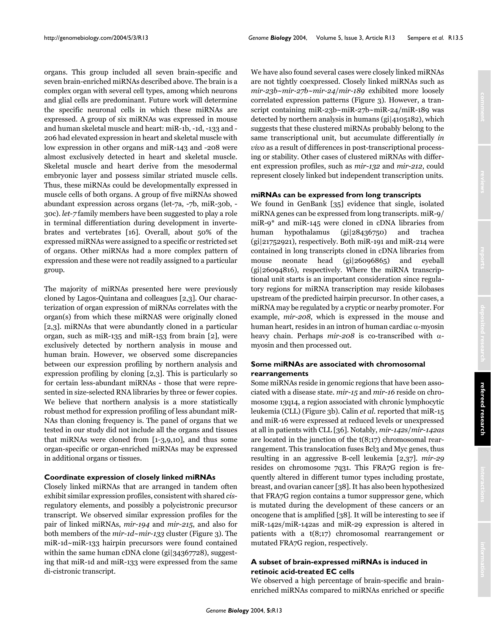organs. This group included all seven brain-specific and seven brain-enriched miRNAs described above. The brain is a complex organ with several cell types, among which neurons and glial cells are predominant. Future work will determine the specific neuronal cells in which these miRNAs are expressed. A group of six miRNAs was expressed in mouse and human skeletal muscle and heart: miR-1b, -1d, -133 and - 206 had elevated expression in heart and skeletal muscle with low expression in other organs and miR-143 and -208 were almost exclusively detected in heart and skeletal muscle. Skeletal muscle and heart derive from the mesodermal embryonic layer and possess similar striated muscle cells. Thus, these miRNAs could be developmentally expressed in muscle cells of both organs. A group of five miRNAs showed abundant expression across organs (let-7a, -7b, miR-30b, - 30c). *let-7* family members have been suggested to play a role in terminal differentiation during development in invertebrates and vertebrates [16]. Overall, about 50% of the expressed miRNAs were assigned to a specific or restricted set of organs. Other miRNAs had a more complex pattern of expression and these were not readily assigned to a particular group.

The majority of miRNAs presented here were previously cloned by Lagos-Quintana and colleagues [2,3]. Our characterization of organ expression of miRNAs correlates with the organ(s) from which these miRNAS were originally cloned [2,3]. miRNAs that were abundantly cloned in a particular organ, such as miR-135 and miR-153 from brain [2], were exclusively detected by northern analysis in mouse and human brain. However, we observed some discrepancies between our expression profiling by northern analysis and expression profiling by cloning [2,3]. This is particularly so for certain less-abundant miRNAs - those that were represented in size-selected RNA libraries by three or fewer copies. We believe that northern analysis is a more statistically robust method for expression profiling of less abundant miR-NAs than cloning frequency is. The panel of organs that we tested in our study did not include all the organs and tissues that miRNAs were cloned from [1-3,9,10], and thus some organ-specific or organ-enriched miRNAs may be expressed in additional organs or tissues.

#### **Coordinate expression of closely linked miRNAs**

Closely linked miRNAs that are arranged in tandem often exhibit similar expression profiles, consistent with shared *cis*regulatory elements, and possibly a polycistronic precursor transcript. We observed similar expression profiles for the pair of linked miRNAs, *mir-194* and *mir-215*, and also for both members of the *mir-1d*~*mir-133* cluster (Figure [3\)](#page-5-0). The miR-1d~miR-133 hairpin precursors were found contained within the same human cDNA clone (gi|34367728), suggesting that miR-1d and miR-133 were expressed from the same di-cistronic transcript.

We have also found several cases were closely linked miRNAs are not tightly coexpressed. Closely linked miRNAs such as *mir-23b~mir-27b~mir-24*/*mir-189* exhibited more loosely correlated expression patterns (Figure [3\)](#page-5-0). However, a transcript containing miR-23b~miR-27b~miR-24/miR-189 was detected by northern analysis in humans (gi|4105182), which suggests that these clustered miRNAs probably belong to the same transcriptional unit, but accumulate differentially *in vivo* as a result of differences in post-transcriptional processing or stability. Other cases of clustered miRNAs with different expression profiles, such as *mir-132* and *mir-212*, could represent closely linked but independent transcription units.

### **miRNAs can be expressed from long transcripts**

We found in GenBank [35] evidence that single, isolated miRNA genes can be expressed from long transcripts. miR-9/ miR-9\* and miR-145 were cloned in cDNA libraries from human hypothalamus (gi|28436750) and trachea (gi|21752921), respectively. Both miR-191 and miR-214 were contained in long transcripts cloned in cDNA libraries from mouse neonate head (gi|26096865) and eyeball (gi|26094816), respectively. Where the miRNA transcriptional unit starts is an important consideration since regulatory regions for miRNA transcription may reside kilobases upstream of the predicted hairpin precursor. In other cases, a miRNA may be regulated by a cryptic or nearby promoter. For example, *mir-208*, which is expressed in the mouse and human heart, resides in an intron of human cardiac α-myosin heavy chain. Perhaps *mir-208* is co-transcribed with αmyosin and then processed out.

# **Some miRNAs are associated with chromosomal rearrangements**

Some miRNAs reside in genomic regions that have been associated with a disease state. *mir-15* and *mir-16* reside on chromosome 13q14, a region associated with chronic lymphocytic leukemia (CLL) (Figure [3](#page-5-0)b). Calin *et al*. reported that miR-15 and miR-16 were expressed at reduced levels or unexpressed at all in patients with CLL [36]. Notably, *mir-142s*/*mir-142as* are located in the junction of the t(8;17) chromosomal rearrangement. This translocation fuses Bcl3 and Myc genes, thus resulting in an aggressive B-cell leukemia [2,37]. *mir-29* resides on chromosome 7q31. This FRA7G region is frequently altered in different tumor types including prostate, breast, and ovarian cancer [38]. It has also been hypothesized that FRA7G region contains a tumor suppressor gene, which is mutated during the development of these cancers or an oncogene that is amplified [38]. It will be interesting to see if miR-142s/miR-142as and miR-29 expression is altered in patients with a t(8;17) chromosomal rearrangement or mutated FRA7G region, respectively.

# **A subset of brain-expressed miRNAs is induced in retinoic acid-treated EC cells**

We observed a high percentage of brain-specific and brainenriched miRNAs compared to miRNAs enriched or specific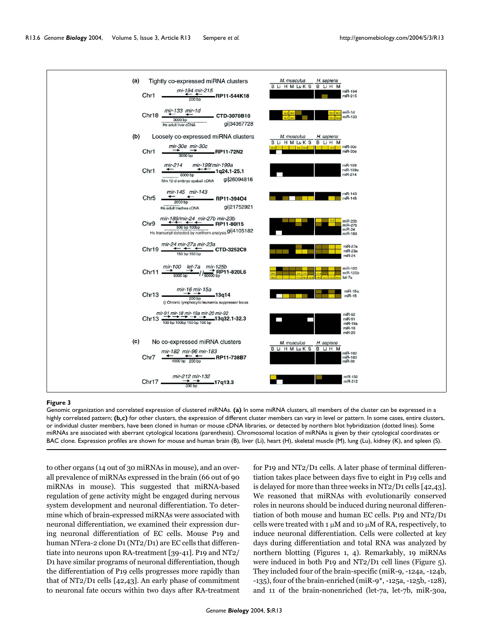<span id="page-5-0"></span>

Genomic organization and correlated expression of clustered miRNAs. **(a)** In some miRNA clusters, all members of the cluster can be expressed in a highly correlated pattern; **(b,c)** for other clusters, the expression of different cluster members can vary in level or pattern. In some cases, entire clusters, or individual cluster members, have been cloned in human or mouse cDNA libraries, or detected by northern blot hybridization (dotted lines). Some miRNAs are associated with aberrant cytological locations (parenthesis). Chromosomal location of miRNAs is given by their cytological coordinates or BAC clone. Expression profiles are shown for mouse and human brain (B), liver (Li), heart (H), skeletal muscle (M), lung (Lu), kidney (K), and spleen (S).

to other organs (14 out of 30 miRNAs in mouse), and an overall prevalence of miRNAs expressed in the brain (66 out of 90 miRNAs in mouse). This suggested that miRNA-based regulation of gene activity might be engaged during nervous system development and neuronal differentiation. To determine which of brain-expressed miRNAs were associated with neuronal differentiation, we examined their expression during neuronal differentiation of EC cells. Mouse P19 and human NTera-2 clone D1 (NT2/D1) are EC cells that differentiate into neurons upon RA-treatment [39-[41\]](#page-10-2). P19 and NT2/ D1 have similar programs of neuronal differentiation, though the differentiation of P19 cells progresses more rapidly than that of NT2/D1 cells [42,43]. An early phase of commitment to neuronal fate occurs within two days after RA-treatment for P19 and NT2/D1 cells. A later phase of terminal differentiation takes place between days five to eight in P19 cells and is delayed for more than three weeks in NT2/D1 cells [42,43]. We reasoned that miRNAs with evolutionarily conserved roles in neurons should be induced during neuronal differentiation of both mouse and human EC cells. P19 and NT2/D1 cells were treated with 1  $\mu$ M and 10  $\mu$ M of RA, respectively, to induce neuronal differentiation. Cells were collected at key days during differentiation and total RNA was analyzed by northern blotting (Figures [1,](#page-2-0) 4). Remarkably, 19 miRNAs were induced in both P19 and NT2/D1 cell lines (Figure 5). They included four of the brain-specific (miR-9, -124a, -124b, -135), four of the brain-enriched (miR-9\*, -125a, -125b, -128), and 11 of the brain-nonenriched (let-7a, let-7b, miR-30a,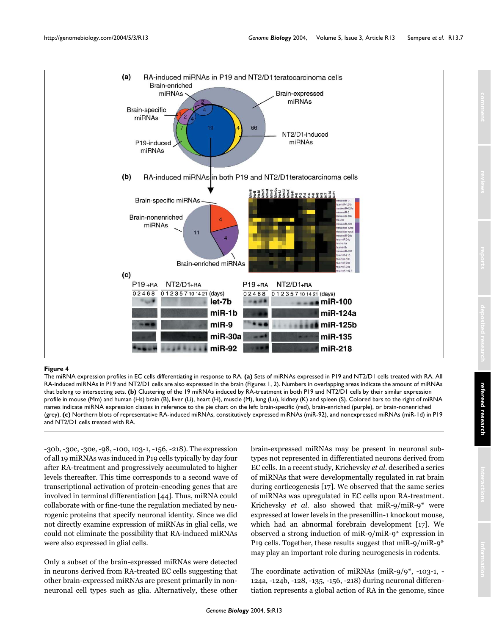

## The miRNA expression profiles in EC ce **Figure 4** lls differentiating in response to RA

The miRNA expression profiles in EC cells differentiating in response to RA. **(a)** Sets of miRNAs expressed in P19 and NT2/D1 cells treated with RA. All RA-induced miRNAs in P19 and NT2/D1 cells are also expressed in the brain (Figures [1](#page-2-0), 2). Numbers in overlapping areas indicate the amount of miRNAs that belong to intersecting sets. **(b)** Clustering of the 19 miRNAs induced by RA-treatment in both P19 and NT2/D1 cells by their similar expression profile in mouse (Mm) and human (Hs) brain (B), liver (Li), heart (H), muscle (M), lung (Lu), kidney (K) and spleen (S). Colored bars to the right of miRNA names indicate miRNA expression classes in reference to the pie chart on the left: brain-specific (red), brain-enriched (purple), or brain-nonenriched (grey). **(c)** Northern blots of representative RA-induced miRNAs, constitutively expressed miRNAs (miR-92), and nonexpressed miRNAs (miR-1d) in P19 and NT2/D1 cells treated with RA

*Genome Biology* 2004, **5:**R13

-30b, -30c, -30e, -98, -100, 103-1, -156, -218). The expression of all 19 miRNAs was induced in P19 cells typically by day four after RA-treatment and progressively accumulated to higher levels thereafter. This time corresponds to a second wave of transcriptional activation of protein-encoding genes that are involved in terminal differentiation [44]. Thus, miRNA could collaborate with or fine-tune the regulation mediated by neurogenic proteins that specify neuronal identity. Since we did not directly examine expression of miRNAs in glial cells, we could not eliminate the possibility that RA-induced miRNAs were also expressed in glial cells.

Only a subset of the brain-expressed miRNAs were detected in neurons derived from RA-treated EC cells suggesting that other brain-expressed miRNAs are present primarily in nonneuronal cell types such as glia. Alternatively, these other brain-expressed miRNAs may be present in neuronal subtypes not represented in differentiated neurons derived from EC cells. In a recent study, Krichevsky *et al*. described a series of miRNAs that were developmentally regulated in rat brain during corticogenesis [17]. We observed that the same series of miRNAs was upregulated in EC cells upon RA-treatment. Krichevsky *et al*. also showed that miR-9/miR-9\* were expressed at lower levels in the presenillin-1 knockout mouse, which had an abnormal forebrain development [17]. We observed a strong induction of miR-9/miR-9\* expression in P19 cells. Together, these results suggest that miR-9/miR-9\* may play an important role during neurogenesis in rodents.

The coordinate activation of miRNAs (miR-9/9\*, -103-1, - 124a, -124b, -128, -135, -156, -218) during neuronal differentiation represents a global action of RA in the genome, since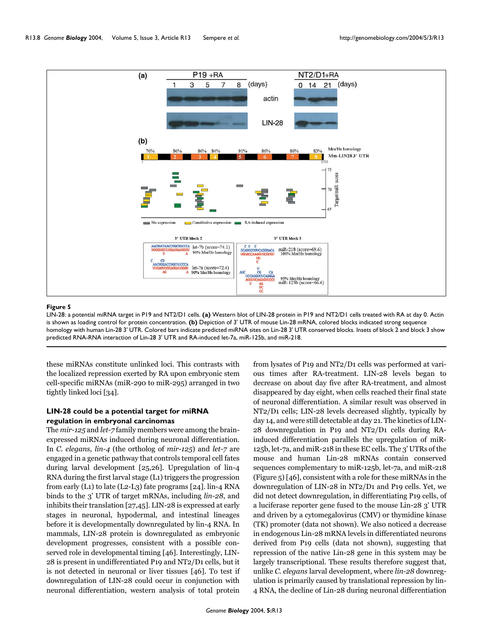

LIN-28: a potential miRNA target in P19 and NT2/D1 cells. **(a)** Western blot of LIN-28 protein in P19 and NT2/D1 cells treated with RA at day 0. Actin is shown as loading control for protein concentration. **(b)** Depiction of 3' UTR of mouse Lin-28 mRNA, colored blocks indicated strong sequence homology with human Lin-28 3' UTR. Colored bars indicate predicted miRNA sites on Lin-28 3' UTR conserved blocks. Insets of block 2 and block 3 show predicted RNA-RNA interaction of Lin-28 3' UTR and RA-induced let-7a, miR-125b, and miR-218.

these miRNAs constitute unlinked loci. This contrasts with the localized repression exerted by RA upon embryonic stem cell-specific miRNAs (miR-290 to miR-295) arranged in two tightly linked loci [34].

## **LIN-28 could be a potential target for miRNA regulation in embryonal carcinomas**

The *mir-125* and *let-7* family members were among the brainexpressed miRNAs induced during neuronal differentiation. In *C. elegans*, *lin-4* (the ortholog of *mir-125*) and *let-7* are engaged in a genetic pathway that controls temporal cell fates during larval development [25,26]. Upregulation of lin-4 RNA during the first larval stage (L1) triggers the progression from early (L1) to late (L2-L3) fate programs [\[24\]](#page-9-7). lin-4 RNA binds to the 3' UTR of target mRNAs, including *lin-28*, and inhibits their translation [[27](#page-9-3),[45](#page-10-3)]. LIN-28 is expressed at early stages in neuronal, hypodermal, and intestinal lineages before it is developmentally downregulated by lin-4 RNA. In mammals, LIN-28 protein is downregulated as embryonic development progresses, consistent with a possible conserved role in developmental timing [46]. Interestingly, LIN-28 is present in undifferentiated P19 and NT2/D1 cells, but it is not detected in neuronal or liver tissues [46]. To test if downregulation of LIN-28 could occur in conjunction with neuronal differentiation, western analysis of total protein

from lysates of P19 and NT2/D1 cells was performed at various times after RA-treatment. LIN-28 levels began to decrease on about day five after RA-treatment, and almost disappeared by day eight, when cells reached their final state of neuronal differentiation. A similar result was observed in NT2/D1 cells; LIN-28 levels decreased slightly, typically by day 14, and were still detectable at day 21. The kinetics of LIN-28 downregulation in P19 and NT2/D1 cells during RAinduced differentiation parallels the upregulation of miR-125b, let-7a, and miR-218 in these EC cells. The 3' UTRs of the mouse and human Lin-28 mRNAs contain conserved sequences complementary to miR-125b, let-7a, and miR-218 (Figure 5) [46], consistent with a role for these miRNAs in the downregulation of LIN-28 in NT2/D1 and P19 cells. Yet, we did not detect downregulation, in differentiating P19 cells, of a luciferase reporter gene fused to the mouse Lin-28 3' UTR and driven by a cytomegalovirus (CMV) or thymidine kinase (TK) promoter (data not shown). We also noticed a decrease in endogenous Lin-28 mRNA levels in differentiated neurons derived from P19 cells (data not shown), suggesting that repression of the native Lin-28 gene in this system may be largely transcriptional. These results therefore suggest that, unlike *C. elegans* larval development, where *lin-28* downregulation is primarily caused by translational repression by lin-4 RNA, the decline of Lin-28 during neuronal differentiation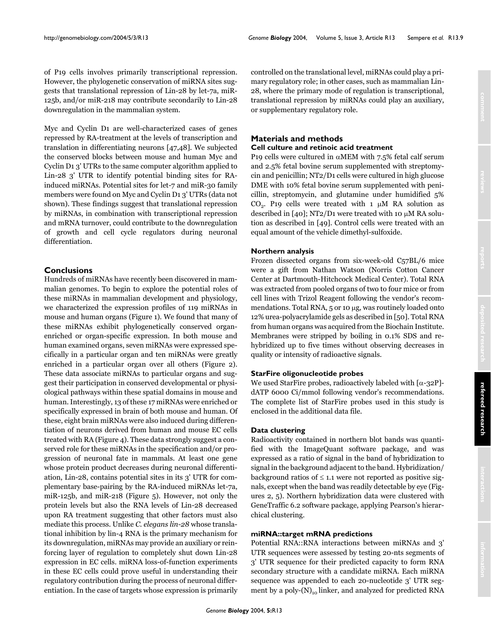of P19 cells involves primarily transcriptional repression. However, the phylogenetic conservation of miRNA sites suggests that translational repression of Lin-28 by let-7a, miR-125b, and/or miR-218 may contribute secondarily to Lin-28 downregulation in the mammalian system.

Myc and Cyclin D1 are well-characterized cases of genes repressed by RA-treatment at the levels of transcription and translation in differentiating neurons [47,48]. We subjected the conserved blocks between mouse and human Myc and Cyclin D1 3' UTRs to the same computer algorithm applied to Lin-28 3' UTR to identify potential binding sites for RAinduced miRNAs. Potential sites for let-7 and miR-30 family members were found on Myc and Cyclin D1 3' UTRs (data not shown). These findings suggest that translational repression by miRNAs, in combination with transcriptional repression and mRNA turnover, could contribute to the downregulation of growth and cell cycle regulators during neuronal differentiation.

## **Conclusions**

Hundreds of miRNAs have recently been discovered in mammalian genomes. To begin to explore the potential roles of these miRNAs in mammalian development and physiology, we characterized the expression profiles of 119 miRNAs in mouse and human organs (Figure [1](#page-2-0)). We found that many of these miRNAs exhibit phylogenetically conserved organenriched or organ-specific expression. In both mouse and human examined organs, seven miRNAs were expressed specifically in a particular organ and ten miRNAs were greatly enriched in a particular organ over all others (Figure 2). These data associate miRNAs to particular organs and suggest their participation in conserved developmental or physiological pathways within these spatial domains in mouse and human. Interestingly, 13 of these 17 miRNAs were enriched or specifically expressed in brain of both mouse and human. Of these, eight brain miRNAs were also induced during differentiation of neurons derived from human and mouse EC cells treated with RA (Figure 4). These data strongly suggest a conserved role for these miRNAs in the specification and/or progression of neuronal fate in mammals. At least one gene whose protein product decreases during neuronal differentiation, Lin-28, contains potential sites in its 3' UTR for complementary base-pairing by the RA-induced miRNAs let-7a, miR-125b, and miR-218 (Figure 5). However, not only the protein levels but also the RNA levels of Lin-28 decreased upon RA treatment suggesting that other factors must also mediate this process. Unlike *C. elegans lin-28* whose translational inhibition by lin-4 RNA is the primary mechanism for its downregulation, miRNAs may provide an auxiliary or reinforcing layer of regulation to completely shut down Lin-28 expression in EC cells. miRNA loss-of-function experiments in these EC cells could prove useful in understanding their regulatory contribution during the process of neuronal differentiation. In the case of targets whose expression is primarily

controlled on the translational level, miRNAs could play a primary regulatory role; in other cases, such as mammalian Lin-28, where the primary mode of regulation is transcriptional, translational repression by miRNAs could play an auxiliary, or supplementary regulatory role.

# **Materials and methods Cell culture and retinoic acid treatment**

P19 cells were cultured in  $\alpha$ MEM with 7.5% fetal calf serum and 2.5% fetal bovine serum supplemented with streptomycin and penicillin; NT2/D1 cells were cultured in high glucose DME with 10% fetal bovine serum supplemented with penicillin, streptomycin, and glutamine under humidified 5% CO<sub>2</sub>. P19 cells were treated with 1  $\mu$ M RA solution as described in [40]; NT2/D1 were treated with 10  $\mu$ M RA solution as described in [49]. Control cells were treated with an equal amount of the vehicle dimethyl-sulfoxide.

# **Northern analysis**

Frozen dissected organs from six-week-old C57BL/6 mice were a gift from Nathan Watson (Norris Cotton Cancer Center at Dartmouth-Hitchcock Medical Center). Total RNA was extracted from pooled organs of two to four mice or from cell lines with Trizol Reagent following the vendor's recommendations. Total RNA, 5 or 10 µg, was routinely loaded onto 12% urea-polyacrylamide gels as described in [[50\]](#page-10-4). Total RNA from human organs was acquired from the Biochain Institute. Membranes were stripped by boiling in 0.1% SDS and rehybridized up to five times without observing decreases in quality or intensity of radioactive signals.

## **StarFire oligonucleotide probes**

We used StarFire probes, radioactively labeled with  $[\alpha$ -32P]dATP 6000 Ci/mmol following vendor's recommendations. The complete list of StarFire probes used in this study is enclosed in the additional data file.

## **Data clustering**

Radioactivity contained in northern blot bands was quantified with the ImageQuant software package, and was expressed as a ratio of signal in the band of hybridization to signal in the background adjacent to the band. Hybridization/ background ratios of  $\leq 1.1$  were not reported as positive signals, except when the band was readily detectable by eye (Figures 2, 5). Northern hybridization data were clustered with GeneTraffic 6.2 software package, applying Pearson's hierarchical clustering.

## **miRNA::target mRNA predictions**

Potential RNA::RNA interactions between miRNAs and 3' UTR sequences were assessed by testing 20-nts segments of 3' UTR sequence for their predicted capacity to form RNA secondary structure with a candidate miRNA. Each miRNA sequence was appended to each 20-nucleotide 3' UTR segment by a poly- $(N)_{10}$  linker, and analyzed for predicted RNA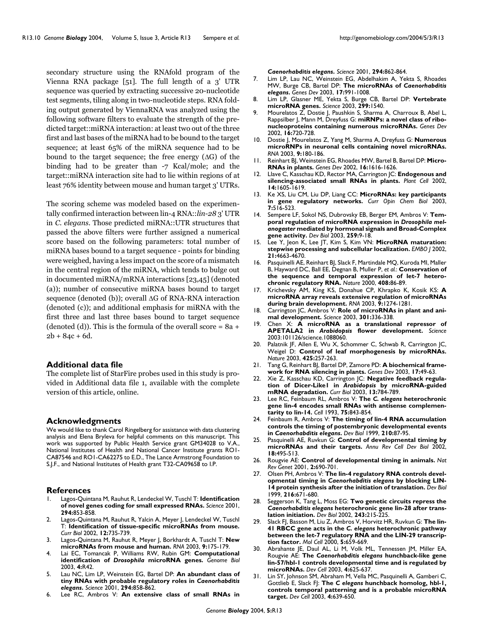secondary structure using the RNAfold program of the Vienna RNA package [51]. The full length of a 3' UTR sequence was queried by extracting successive 20-nucleotide test segments, tiling along in two-nucleotide steps. RNA folding output generated by ViennaRNA was analyzed using the following software filters to evaluate the strength of the predicted target::miRNA interaction: at least two out of the three first and last bases of the miRNA had to be bound to the target sequence; at least 65% of the miRNA sequence had to be bound to the target sequence; the free energy (∆G) of the binding had to be greater than -7 Kcal/mole; and the target::miRNA interaction site had to lie within regions of at least 76% identity between mouse and human target 3' UTRs.

The scoring scheme was modeled based on the experimentally confirmed interaction between lin-4 RNA::*lin-28* 3' UTR in *C. elegans*. Those predicted miRNA::UTR structures that passed the above filters were further assigned a numerical score based on the following parameters: total number of miRNA bases bound to a target sequence - points for binding were weighed, having a less impact on the score of a mismatch in the central region of the miRNA, which tends to bulge out in documented miRNA/mRNA interactions [[23,](#page-9-2)[45\]](#page-10-3) (denoted (a)); number of consecutive miRNA bases bound to target sequence (denoted (b)); overall ∆G of RNA-RNA interaction (denoted (c)); and additional emphasis for miRNA with the first three and last three bases bound to target sequence (denoted (d)). This is the formula of the overall score =  $8a +$  $2b + 84c + 6d$ .

#### **Additional data file**

The complete list of StarFire probes used in this study is provided in Additional data file 1, available with the complete version of this article, online.

#### **Acknowledgments**

We would like to thank Carol Ringelberg for assistance with data clustering analysis and Elena Bryleva for helpful comments on this manuscript. This work was supported by Public Health Service grant GM34028 to V.A., National Institutes of Health and National Cancer Institute grants RO1- CA87546 and RO1-CA62275 to E.D., The Lance Armstrong Foundation to S.J.F., and National Institutes of Health grant T32-CA09658 to I.P.

#### **References**

- 1. Lagos-Quintana M, Rauhut R, Lendeckel W, Tuschl T: **[Identification](http://www.ncbi.nlm.nih.gov/entrez/query.fcgi?cmd=Retrieve&db=PubMed&dopt=Abstract&list_uids=10.1126/science.1064921) [of novel genes coding for small expressed RNAs.](http://www.ncbi.nlm.nih.gov/entrez/query.fcgi?cmd=Retrieve&db=PubMed&dopt=Abstract&list_uids=10.1126/science.1064921)** *Science* 2001, **294:**853-858.
- 2. Lagos-Quintana M, Rauhut R, Yalcin A, Meyer J, Lendeckel W, Tuschl T: **[Identification of tissue-specific microRNAs from mouse.](http://www.ncbi.nlm.nih.gov/entrez/query.fcgi?cmd=Retrieve&db=PubMed&dopt=Abstract&list_uids=10.1016/S0960-9822(02)00809-6)** *Curr Biol* 2002, **12:**735-739.
- 3. Lagos-Quintana M, Rauhut R, Meyer J, Borkhardt A, Tuschl T: **[New](http://www.ncbi.nlm.nih.gov/entrez/query.fcgi?cmd=Retrieve&db=PubMed&dopt=Abstract&list_uids=10.1261/rna.2146903) [microRNAs from mouse and human.](http://www.ncbi.nlm.nih.gov/entrez/query.fcgi?cmd=Retrieve&db=PubMed&dopt=Abstract&list_uids=10.1261/rna.2146903)** *RNA* 2003, **9:**175-179.
- 4. Lai EC, Tomancak P, Williams RW, Rubin GM: **Computational identification of** *Drosophila* **[microRNA genes.](http://www.ncbi.nlm.nih.gov/entrez/query.fcgi?cmd=Retrieve&db=PubMed&dopt=Abstract&list_uids=193629)** *Genome Biol* 2003, **4:**R42.
- 5. Lau NC, Lim LP, Weinstein EG, Bartel DP: **An abundant class of tiny RNAs with probable regulatory roles in** *Caenorhabditis elegans***[.](http://www.ncbi.nlm.nih.gov/entrez/query.fcgi?cmd=Retrieve&db=PubMed&dopt=Abstract&list_uids=10.1126/science.1065062)** *Science* 2001, **294:**858-862.
- Lee RC, Ambros V: An extensive class of small RNAs in

*Caenorhabditis elegans***[.](http://www.ncbi.nlm.nih.gov/entrez/query.fcgi?cmd=Retrieve&db=PubMed&dopt=Abstract&list_uids=10.1126/science.1065329)** *Science* 2001, **294:**862-864.

- 7. Lim LP, Lau NC, Weinstein EG, Abdelhakim A, Yekta S, Rhoades MW, Burge CB, Bartel DP: **The microRNAs of** *Caenorhabditis elegans***[.](http://www.ncbi.nlm.nih.gov/entrez/query.fcgi?cmd=Retrieve&db=PubMed&dopt=Abstract&list_uids=10.1101/gad.1074403)** *Genes Dev* 2003, **17:**991-1008.
- 8. Lim LP, Glasner ME, Yekta S, Burge CB, Bartel DP: **[Vertebrate](http://www.ncbi.nlm.nih.gov/entrez/query.fcgi?cmd=Retrieve&db=PubMed&dopt=Abstract&list_uids=10.1126/science.1080372) [microRNA genes.](http://www.ncbi.nlm.nih.gov/entrez/query.fcgi?cmd=Retrieve&db=PubMed&dopt=Abstract&list_uids=10.1126/science.1080372)** *Science* 2003, **299:**1540.
- 9. Mourelatos Z, Dostie J, Paushkin S, Sharma A, Charroux B, Abel L, Rappsilber J, Mann M, Dreyfuss G: **[miRNPs: a novel class of ribo](http://www.ncbi.nlm.nih.gov/entrez/query.fcgi?cmd=Retrieve&db=PubMed&dopt=Abstract&list_uids=155365)[nucleoproteins containing numerous microRNAs.](http://www.ncbi.nlm.nih.gov/entrez/query.fcgi?cmd=Retrieve&db=PubMed&dopt=Abstract&list_uids=155365)** *Genes Dev* 2002, **16:**720-728.
- 10. Dostie J, Mourelatos Z, Yang M, Sharma A, Dreyfuss G: **[Numerous](http://www.ncbi.nlm.nih.gov/entrez/query.fcgi?cmd=Retrieve&db=PubMed&dopt=Abstract&list_uids=10.1261/rna.2141503) [microRNPs in neuronal cells containing novel microRNAs.](http://www.ncbi.nlm.nih.gov/entrez/query.fcgi?cmd=Retrieve&db=PubMed&dopt=Abstract&list_uids=10.1261/rna.2141503)** *RNA* 2003, **9:**180-186.
- 11. Reinhart BJ, Weinstein EG, Rhoades MW, Bartel B, Bartel DP: **[Micro-](http://www.ncbi.nlm.nih.gov/entrez/query.fcgi?cmd=Retrieve&db=PubMed&dopt=Abstract&list_uids=186362)[RNAs in plants.](http://www.ncbi.nlm.nih.gov/entrez/query.fcgi?cmd=Retrieve&db=PubMed&dopt=Abstract&list_uids=186362)** *Genes Dev* 2002, **16:**1616-1626.
- 12. Llave C, Kasschau KD, Rector MA, Carrington JC: **[Endogenous and](http://www.ncbi.nlm.nih.gov/entrez/query.fcgi?cmd=Retrieve&db=PubMed&dopt=Abstract&list_uids=150710) [silencing-associated small RNAs in plants.](http://www.ncbi.nlm.nih.gov/entrez/query.fcgi?cmd=Retrieve&db=PubMed&dopt=Abstract&list_uids=150710)** *Plant Cell* 2002, **14:**1605-1619.
- 13. Ke XS, Liu CM, Liu DP, Liang CC: **[MicroRNAs: key participants](http://www.ncbi.nlm.nih.gov/entrez/query.fcgi?cmd=Retrieve&db=PubMed&dopt=Abstract&list_uids=10.1016/S1367-5931(03)00075-9) [in gene regulatory networks.](http://www.ncbi.nlm.nih.gov/entrez/query.fcgi?cmd=Retrieve&db=PubMed&dopt=Abstract&list_uids=10.1016/S1367-5931(03)00075-9)** *Curr Opin Chem Biol* 2003, **7:**516-523.
- <span id="page-9-0"></span>14. Sempere LF, Sokol NS, Dubrovsky EB, Berger EM, Ambros V: **Temporal regulation of microRNA expression in** *Drosophila melanogaster* **[mediated by hormonal signals and Broad-Complex](http://www.ncbi.nlm.nih.gov/entrez/query.fcgi?cmd=Retrieve&db=PubMed&dopt=Abstract&list_uids=10.1016/S0012-1606(03)00208-2) [gene activity.](http://www.ncbi.nlm.nih.gov/entrez/query.fcgi?cmd=Retrieve&db=PubMed&dopt=Abstract&list_uids=10.1016/S0012-1606(03)00208-2)** *Dev Biol* 2003, **259:**9-18.
- 15. Lee Y, Jeon K, Lee JT, Kim S, Kim VN: **[MicroRNA maturation:](http://www.ncbi.nlm.nih.gov/entrez/query.fcgi?cmd=Retrieve&db=PubMed&dopt=Abstract&list_uids=126204) [stepwise processing and subcellular localization.](http://www.ncbi.nlm.nih.gov/entrez/query.fcgi?cmd=Retrieve&db=PubMed&dopt=Abstract&list_uids=126204)** *EMBO J* 2002, **21:**4663-4670.
- 16. Pasquinelli AE, Reinhart BJ, Slack F, Martindale MQ, Kuroda MI, Maller B, Hayward DC, Ball EE, Degnan B, Muller P, *et al.*: **[Conservation of](http://www.ncbi.nlm.nih.gov/entrez/query.fcgi?cmd=Retrieve&db=PubMed&dopt=Abstract&list_uids=10.1038/35040556) [the sequence and temporal expression of let-7 hetero](http://www.ncbi.nlm.nih.gov/entrez/query.fcgi?cmd=Retrieve&db=PubMed&dopt=Abstract&list_uids=10.1038/35040556)[chronic regulatory RNA.](http://www.ncbi.nlm.nih.gov/entrez/query.fcgi?cmd=Retrieve&db=PubMed&dopt=Abstract&list_uids=10.1038/35040556)** *Nature* 2000, **408:**86-89.
- 17. Krichevsky AM, King KS, Donahue CP, Khrapko K, Kosik KS: **[A](http://www.ncbi.nlm.nih.gov/entrez/query.fcgi?cmd=Retrieve&db=PubMed&dopt=Abstract&list_uids=10.1261/rna.5980303) [microRNA array reveals extensive regulation of microRNAs](http://www.ncbi.nlm.nih.gov/entrez/query.fcgi?cmd=Retrieve&db=PubMed&dopt=Abstract&list_uids=10.1261/rna.5980303) [during brain development.](http://www.ncbi.nlm.nih.gov/entrez/query.fcgi?cmd=Retrieve&db=PubMed&dopt=Abstract&list_uids=10.1261/rna.5980303)** *RNA* 2003, **9:**1274-1281.
- 18. Carrington JC, Ambros V: **[Role of microRNAs in plant and ani](http://www.ncbi.nlm.nih.gov/entrez/query.fcgi?cmd=Retrieve&db=PubMed&dopt=Abstract&list_uids=10.1126/science.1085242)[mal development.](http://www.ncbi.nlm.nih.gov/entrez/query.fcgi?cmd=Retrieve&db=PubMed&dopt=Abstract&list_uids=10.1126/science.1085242)** *Science* 2003, **301:**336-338.
- 19. Chen X: **A microRNA as a translational repressor of APETALA2 in** *Arabidopsis* **flower development.** *Science* 2003:101126/science.1088060.
- 20. Palatnik JF, Allen E, Wu X, Schommer C, Schwab R, Carrington JC, Weigel D: **[Control of leaf morphogenesis by microRNAs.](http://www.ncbi.nlm.nih.gov/entrez/query.fcgi?cmd=Retrieve&db=PubMed&dopt=Abstract&list_uids=10.1038/nature01958)** *Nature* 2003, **425:**257-263.
- 21. Tang G, Reinhart BJ, Bartel DP, Zamore PD: **[A biochemical frame](http://www.ncbi.nlm.nih.gov/entrez/query.fcgi?cmd=Retrieve&db=PubMed&dopt=Abstract&list_uids=10.1101/gad.1048103)[work for RNA silencing in plants.](http://www.ncbi.nlm.nih.gov/entrez/query.fcgi?cmd=Retrieve&db=PubMed&dopt=Abstract&list_uids=10.1101/gad.1048103)** *Genes Dev* 2003, **17:**49-63.
- <span id="page-9-1"></span>22. Xie Z, Kasschau KD, Carrington JC: **Negative feedback regulation of Dicer-Like1 in** *Arabidopsis* **[by microRNA-guided](http://www.ncbi.nlm.nih.gov/entrez/query.fcgi?cmd=Retrieve&db=PubMed&dopt=Abstract&list_uids=10.1016/S0960-9822(03)00281-1) [mRNA degradation.](http://www.ncbi.nlm.nih.gov/entrez/query.fcgi?cmd=Retrieve&db=PubMed&dopt=Abstract&list_uids=10.1016/S0960-9822(03)00281-1)** *Curr Biol* 2003, **13:**784-789.
- <span id="page-9-2"></span>23. Lee RC, Feinbaum RL, Ambros V: **The** *C. elegans* **[heterochronic](http://www.ncbi.nlm.nih.gov/entrez/query.fcgi?cmd=Retrieve&db=PubMed&dopt=Abstract&list_uids=8252621) [gene lin-4 encodes small RNAs with antisense complemen](http://www.ncbi.nlm.nih.gov/entrez/query.fcgi?cmd=Retrieve&db=PubMed&dopt=Abstract&list_uids=8252621)[tarity to lin-14.](http://www.ncbi.nlm.nih.gov/entrez/query.fcgi?cmd=Retrieve&db=PubMed&dopt=Abstract&list_uids=8252621)** *Cell* 1993, **75:**843-854.
- <span id="page-9-7"></span>24. Feinbaum R, Ambros V: **The timing of lin-4 RNA accumulation controls the timing of postembryonic developmental events in** *Caenorhabditis elegans***[.](http://www.ncbi.nlm.nih.gov/entrez/query.fcgi?cmd=Retrieve&db=PubMed&dopt=Abstract&list_uids=10.1006/dbio.1999.9272)** *Dev Biol* 1999, **210:**87-95.
- 25. Pasquinelli AE, Ruvkun G: **[Control of developmental timing by](http://www.ncbi.nlm.nih.gov/entrez/query.fcgi?cmd=Retrieve&db=PubMed&dopt=Abstract&list_uids=10.1146/annurev.cellbio.18.012502.105832) [microRNAs and their targets.](http://www.ncbi.nlm.nih.gov/entrez/query.fcgi?cmd=Retrieve&db=PubMed&dopt=Abstract&list_uids=10.1146/annurev.cellbio.18.012502.105832)** *Annu Rev Cell Dev Biol* 2002, **18:**495-513.
- 26. Rougvie AE: **[Control of developmental timing in animals.](http://www.ncbi.nlm.nih.gov/entrez/query.fcgi?cmd=Retrieve&db=PubMed&dopt=Abstract&list_uids=10.1038/35088566)** *Nat Rev Genet* 2001, **2:**690-701.
- <span id="page-9-3"></span>27. Olsen PH, Ambros V: **The lin-4 regulatory RNA controls developmental timing in** *Caenorhabditis elegans* **[by blocking LIN-](http://www.ncbi.nlm.nih.gov/entrez/query.fcgi?cmd=Retrieve&db=PubMed&dopt=Abstract&list_uids=10.1006/dbio.1999.9523)[14 protein synthesis after the initiation of translation.](http://www.ncbi.nlm.nih.gov/entrez/query.fcgi?cmd=Retrieve&db=PubMed&dopt=Abstract&list_uids=10.1006/dbio.1999.9523)** *Dev Biol* 1999, **216:**671-680.
- <span id="page-9-4"></span>28. Seggerson K, Tang L, Moss EG: **Two genetic circuits repress the** *Caenorhabditis elegans* **[heterochronic gene lin-28 after trans](http://www.ncbi.nlm.nih.gov/entrez/query.fcgi?cmd=Retrieve&db=PubMed&dopt=Abstract&list_uids=10.1006/dbio.2001.0563)[lation initiation.](http://www.ncbi.nlm.nih.gov/entrez/query.fcgi?cmd=Retrieve&db=PubMed&dopt=Abstract&list_uids=10.1006/dbio.2001.0563)** *Dev Biol* 2002, **243:**215-225.
- <span id="page-9-5"></span>29. Slack FJ, Basson M, Liu Z, Ambros V, Horvitz HR, Ruvkun G: **The lin-41 RBCC gene acts in the** *C. elegans* **[heterochronic pathway](http://www.ncbi.nlm.nih.gov/entrez/query.fcgi?cmd=Retrieve&db=PubMed&dopt=Abstract&list_uids=10882102) [between the let-7 regulatory RNA and the LIN-29 transcrip](http://www.ncbi.nlm.nih.gov/entrez/query.fcgi?cmd=Retrieve&db=PubMed&dopt=Abstract&list_uids=10882102)[tion factor.](http://www.ncbi.nlm.nih.gov/entrez/query.fcgi?cmd=Retrieve&db=PubMed&dopt=Abstract&list_uids=10882102)** *Mol Cell* 2000, **5:**659-669.
- 30. Abrahante JE, Daul AL, Li M, Volk ML, Tennessen JM, Miller EA, Rougvie AE: **The** *Caenorhabditis elegans* **[hunchback-like gene](http://www.ncbi.nlm.nih.gov/entrez/query.fcgi?cmd=Retrieve&db=PubMed&dopt=Abstract&list_uids=12737799) [lin-57/hbl-1 controls developmental time and is regulated by](http://www.ncbi.nlm.nih.gov/entrez/query.fcgi?cmd=Retrieve&db=PubMed&dopt=Abstract&list_uids=12737799) [microRNAs.](http://www.ncbi.nlm.nih.gov/entrez/query.fcgi?cmd=Retrieve&db=PubMed&dopt=Abstract&list_uids=12737799)** *Dev Cell* 2003, **4:**625-637.
- <span id="page-9-6"></span>31. Lin SY, Johnson SM, Abraham M, Vella MC, Pasquinelli A, Gamberi C, Gottlieb E, Slack FJ: **The** *C elegans* **[hunchback homolog, hbl-1,](http://www.ncbi.nlm.nih.gov/entrez/query.fcgi?cmd=Retrieve&db=PubMed&dopt=Abstract&list_uids=12737800) [controls temporal patterning and is a probable microRNA](http://www.ncbi.nlm.nih.gov/entrez/query.fcgi?cmd=Retrieve&db=PubMed&dopt=Abstract&list_uids=12737800) [target.](http://www.ncbi.nlm.nih.gov/entrez/query.fcgi?cmd=Retrieve&db=PubMed&dopt=Abstract&list_uids=12737800)** *Dev Cell* 2003, **4:**639-650.